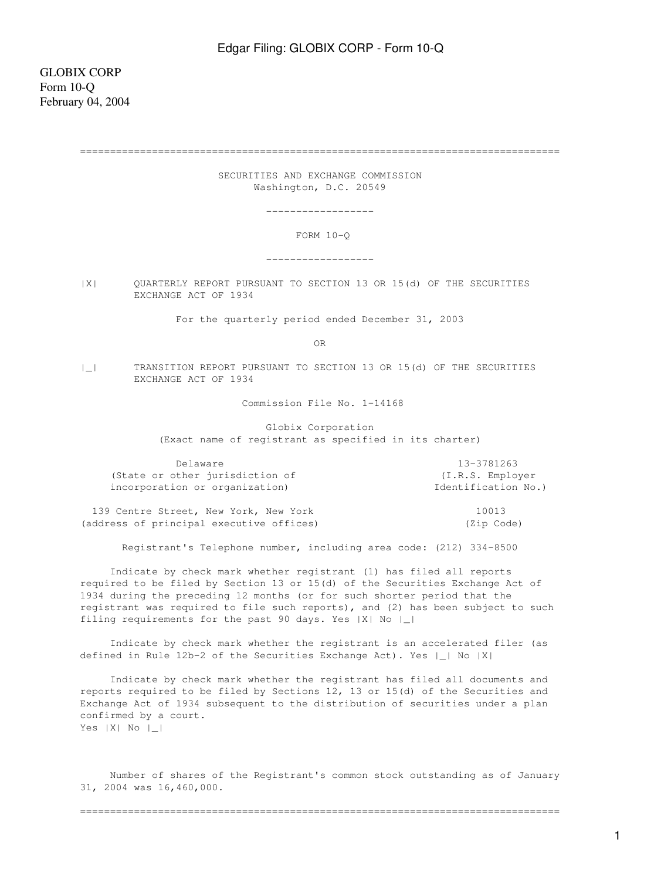================================================================================

 SECURITIES AND EXCHANGE COMMISSION Washington, D.C. 20549

------------------

FORM 10-Q

------------------

|X| QUARTERLY REPORT PURSUANT TO SECTION 13 OR 15(d) OF THE SECURITIES EXCHANGE ACT OF 1934

For the quarterly period ended December 31, 2003

OR

|\_| TRANSITION REPORT PURSUANT TO SECTION 13 OR 15(d) OF THE SECURITIES EXCHANGE ACT OF 1934

Commission File No. 1-14168

 Globix Corporation (Exact name of registrant as specified in its charter)

| Delaware                                 | 13-3781263          |
|------------------------------------------|---------------------|
| (State or other jurisdiction of          | (I.R.S. Employer    |
| incorporation or organization)           | Identification No.) |
| 139 Centre Street, New York, New York    | 10013               |
| (address of principal executive offices) | (Zip Code)          |

Registrant's Telephone number, including area code: (212) 334-8500

 Indicate by check mark whether registrant (1) has filed all reports required to be filed by Section 13 or 15(d) of the Securities Exchange Act of 1934 during the preceding 12 months (or for such shorter period that the registrant was required to file such reports), and (2) has been subject to such filing requirements for the past 90 days. Yes |X| No |\_|

 Indicate by check mark whether the registrant is an accelerated filer (as defined in Rule 12b-2 of the Securities Exchange Act). Yes |\_| No |X|

 Indicate by check mark whether the registrant has filed all documents and reports required to be filed by Sections 12, 13 or 15(d) of the Securities and Exchange Act of 1934 subsequent to the distribution of securities under a plan confirmed by a court. Yes |X| No |\_|

 Number of shares of the Registrant's common stock outstanding as of January 31, 2004 was 16,460,000.

================================================================================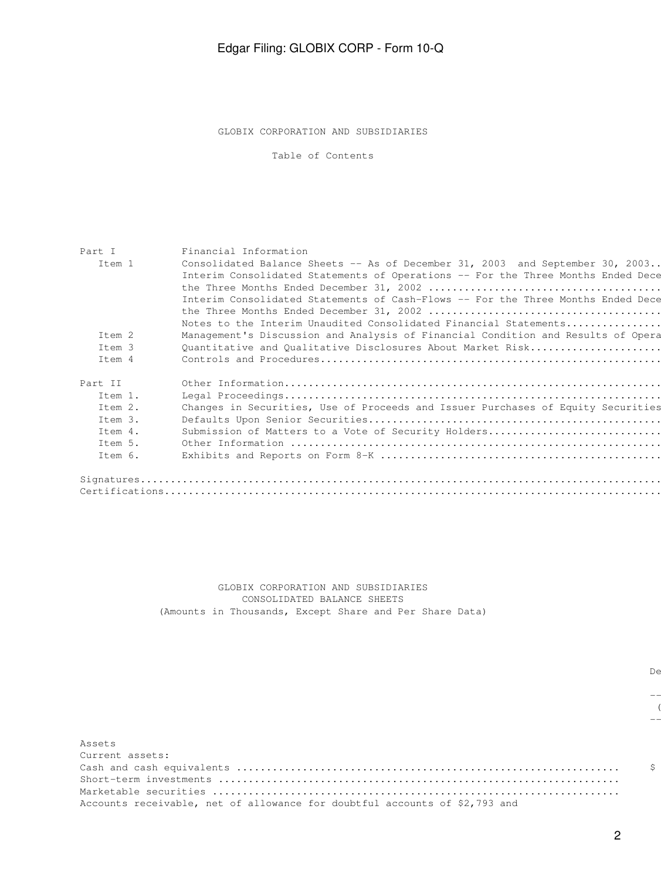GLOBIX CORPORATION AND SUBSIDIARIES

Table of Contents

| Part I  | Financial Information                                                            |
|---------|----------------------------------------------------------------------------------|
| Item 1  | Consolidated Balance Sheets -- As of December 31, 2003 and September 30, 2003.   |
|         | Interim Consolidated Statements of Operations -- For the Three Months Ended Dece |
|         |                                                                                  |
|         | Interim Consolidated Statements of Cash-Flows -- For the Three Months Ended Dece |
|         |                                                                                  |
|         | Notes to the Interim Unaudited Consolidated Financial Statements                 |
| Item 2  | Management's Discussion and Analysis of Financial Condition and Results of Opera |
| Item 3  | Quantitative and Qualitative Disclosures About Market Risk                       |
| Item 4  |                                                                                  |
| Part II |                                                                                  |
| Item 1. |                                                                                  |
| Item 2. | Changes in Securities, Use of Proceeds and Issuer Purchases of Equity Securities |
| Item 3. |                                                                                  |
| Item 4. | Submission of Matters to a Vote of Security Holders                              |
| Item 5. |                                                                                  |
| Item 6. |                                                                                  |
|         |                                                                                  |
|         |                                                                                  |
|         |                                                                                  |

 GLOBIX CORPORATION AND SUBSIDIARIES CONSOLIDATED BALANCE SHEETS (Amounts in Thousands, Except Share and Per Share Data)

 $($ ------------

december 31, September 31, September 31, September 31, September 31, September 31, September 31, September 31,

------------ -------------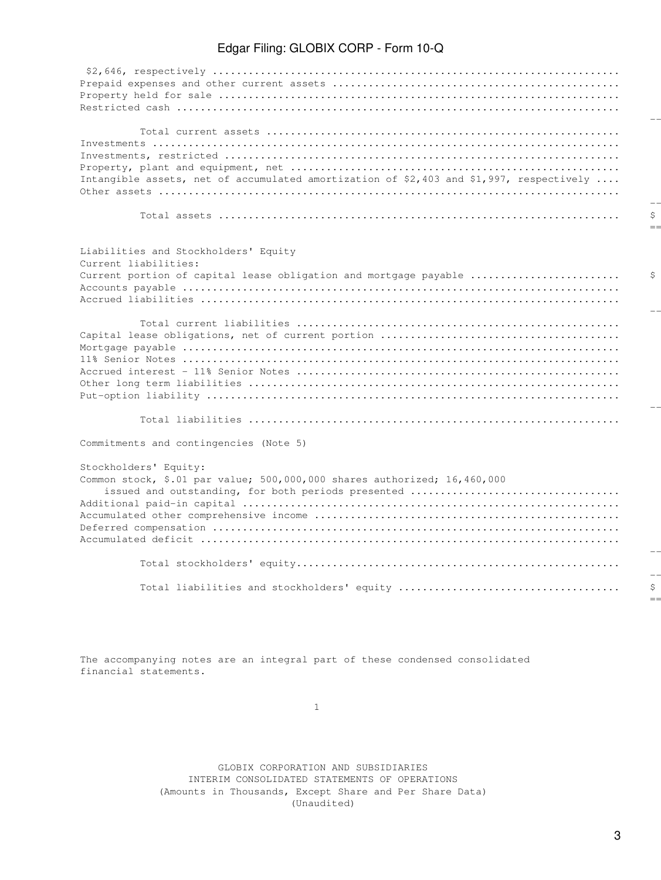| Intangible assets, net of accumulated amortization of \$2,403 and \$1,997, respectively |
|-----------------------------------------------------------------------------------------|
|                                                                                         |
|                                                                                         |
|                                                                                         |
| Liabilities and Stockholders' Equity                                                    |
| Current liabilities:                                                                    |
| Current portion of capital lease obligation and mortgage payable                        |
|                                                                                         |
|                                                                                         |
|                                                                                         |
|                                                                                         |
|                                                                                         |
|                                                                                         |
|                                                                                         |
|                                                                                         |
|                                                                                         |
|                                                                                         |
| Commitments and contingencies (Note 5)                                                  |
| Stockholders' Equity:                                                                   |
| Common stock, \$.01 par value; 500,000,000 shares authorized; 16,460,000                |
| issued and outstanding, for both periods presented                                      |
|                                                                                         |
|                                                                                         |
|                                                                                         |
|                                                                                         |
|                                                                                         |
|                                                                                         |
|                                                                                         |

========= =========

The accompanying notes are an integral part of these condensed consolidated financial statements.

1

 GLOBIX CORPORATION AND SUBSIDIARIES INTERIM CONSOLIDATED STATEMENTS OF OPERATIONS (Amounts in Thousands, Except Share and Per Share Data) (Unaudited)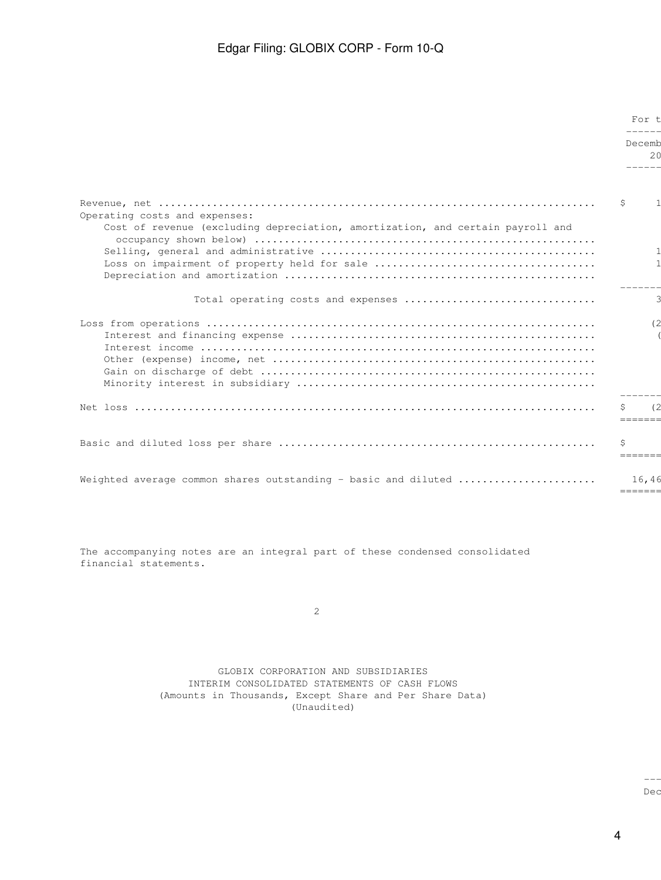|                                                                                                                 |   | For t            |  |
|-----------------------------------------------------------------------------------------------------------------|---|------------------|--|
|                                                                                                                 |   | Decemb<br>20     |  |
| Operating costs and expenses:<br>Cost of revenue (excluding depreciation, amortization, and certain payroll and | S |                  |  |
|                                                                                                                 |   |                  |  |
|                                                                                                                 |   |                  |  |
|                                                                                                                 |   | --------         |  |
|                                                                                                                 |   | $=$ = = = = = =  |  |
| Weighted average common shares outstanding - basic and diluted                                                  |   | 16,46<br>------- |  |

The accompanying notes are an integral part of these condensed consolidated financial statements.

2

 GLOBIX CORPORATION AND SUBSIDIARIES INTERIM CONSOLIDATED STATEMENTS OF CASH FLOWS (Amounts in Thousands, Except Share and Per Share Data) (Unaudited)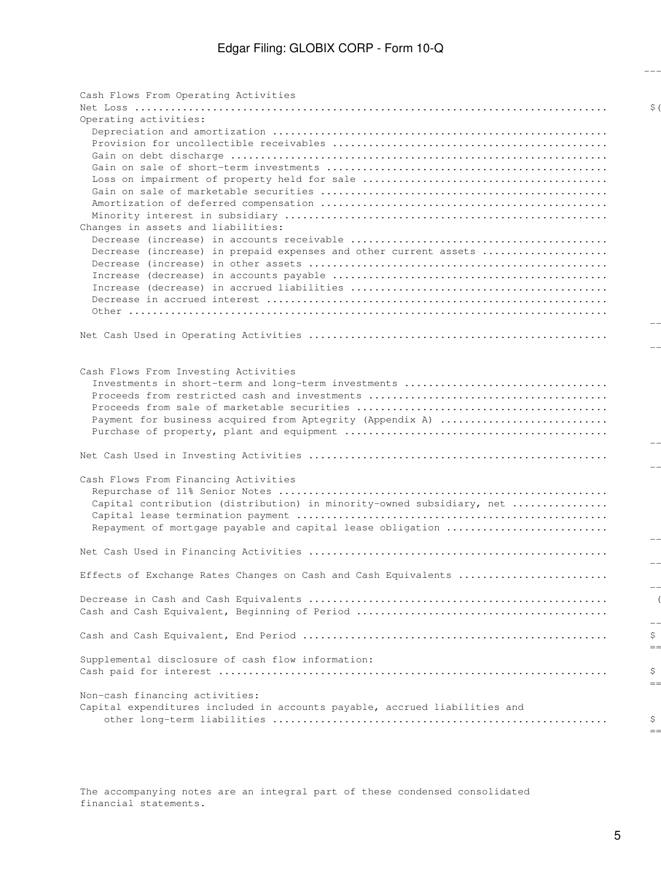------------ ------------

| Cash Flows From Operating Activities                                       |                |
|----------------------------------------------------------------------------|----------------|
|                                                                            | $\mathsf{S}$ ( |
| Operating activities:                                                      |                |
|                                                                            |                |
|                                                                            |                |
|                                                                            |                |
|                                                                            |                |
|                                                                            |                |
|                                                                            |                |
|                                                                            |                |
|                                                                            |                |
| Changes in assets and liabilities:                                         |                |
|                                                                            |                |
| Decrease (increase) in prepaid expenses and other current assets           |                |
|                                                                            |                |
|                                                                            |                |
|                                                                            |                |
|                                                                            |                |
|                                                                            |                |
|                                                                            |                |
|                                                                            |                |
|                                                                            |                |
|                                                                            |                |
| Cash Flows From Investing Activities                                       |                |
| Investments in short-term and long-term investments                        |                |
|                                                                            |                |
|                                                                            |                |
| Payment for business acquired from Aptegrity (Appendix A)                  |                |
|                                                                            |                |
|                                                                            |                |
|                                                                            |                |
|                                                                            |                |
| Cash Flows From Financing Activities                                       |                |
|                                                                            |                |
| Capital contribution (distribution) in minority-owned subsidiary, net      |                |
|                                                                            |                |
| Repayment of mortgage payable and capital lease obligation                 |                |
|                                                                            |                |
|                                                                            |                |
|                                                                            |                |
| Effects of Exchange Rates Changes on Cash and Cash Equivalents             |                |
|                                                                            |                |
|                                                                            |                |
|                                                                            |                |
|                                                                            |                |
|                                                                            | \$             |
|                                                                            | $=$            |
| Supplemental disclosure of cash flow information:                          |                |
|                                                                            | \$             |
|                                                                            | $=$            |
| Non-cash financing activities:                                             |                |
| Capital expenditures included in accounts payable, accrued liabilities and |                |
|                                                                            | Ş              |
|                                                                            | $=$ =          |

The accompanying notes are an integral part of these condensed consolidated financial statements.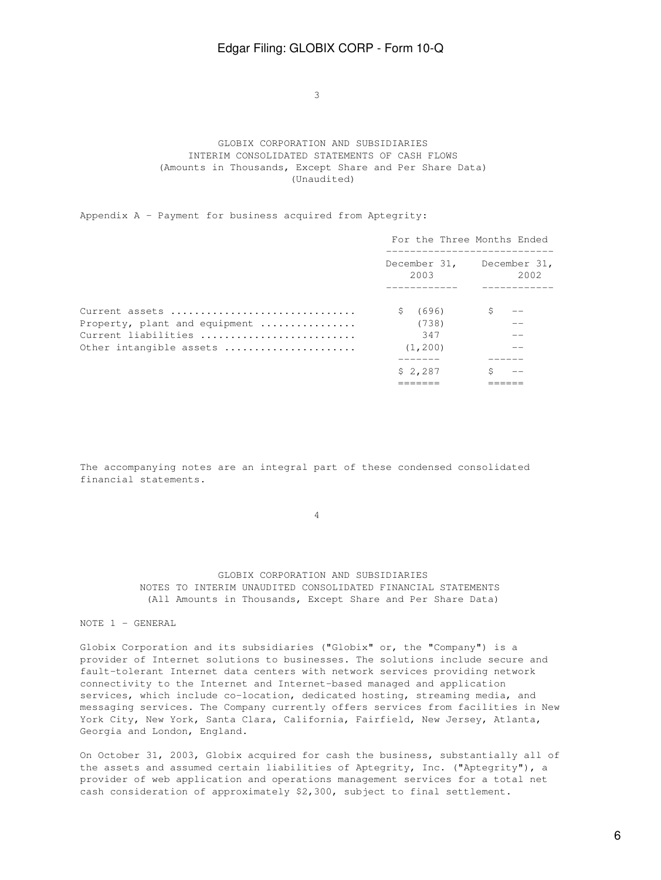$\sim$  3

## GLOBIX CORPORATION AND SUBSIDIARIES INTERIM CONSOLIDATED STATEMENTS OF CASH FLOWS (Amounts in Thousands, Except Share and Per Share Data) (Unaudited)

Appendix A - Payment for business acquired from Aptegrity:

|                               | For the Three Months Ended        |      |
|-------------------------------|-----------------------------------|------|
|                               | December 31, December 31,<br>2003 | 2002 |
|                               |                                   |      |
| Current assets                | \$ (696)                          |      |
| Property, plant and equipment | (738)                             |      |
| Current liabilities           | 347                               |      |
| Other intangible assets       | (1, 200)                          |      |
|                               |                                   |      |
|                               | \$2,287                           |      |
|                               |                                   |      |

The accompanying notes are an integral part of these condensed consolidated financial statements.

4

## GLOBIX CORPORATION AND SUBSIDIARIES NOTES TO INTERIM UNAUDITED CONSOLIDATED FINANCIAL STATEMENTS (All Amounts in Thousands, Except Share and Per Share Data)

### NOTE 1 - GENERAL

Globix Corporation and its subsidiaries ("Globix" or, the "Company") is a provider of Internet solutions to businesses. The solutions include secure and fault-tolerant Internet data centers with network services providing network connectivity to the Internet and Internet-based managed and application services, which include co-location, dedicated hosting, streaming media, and messaging services. The Company currently offers services from facilities in New York City, New York, Santa Clara, California, Fairfield, New Jersey, Atlanta, Georgia and London, England.

On October 31, 2003, Globix acquired for cash the business, substantially all of the assets and assumed certain liabilities of Aptegrity, Inc. ("Aptegrity"), a provider of web application and operations management services for a total net cash consideration of approximately \$2,300, subject to final settlement.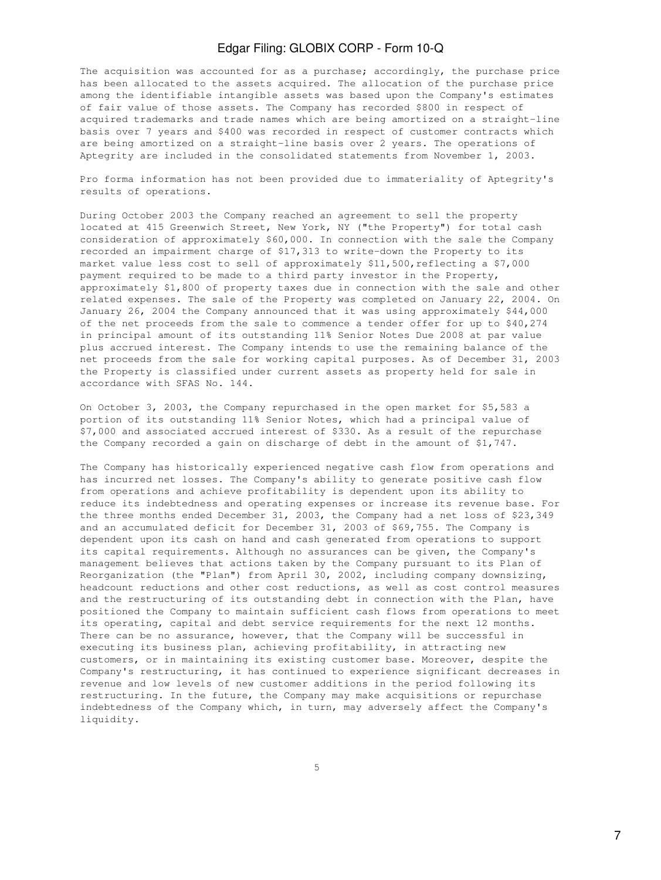The acquisition was accounted for as a purchase; accordingly, the purchase price has been allocated to the assets acquired. The allocation of the purchase price among the identifiable intangible assets was based upon the Company's estimates of fair value of those assets. The Company has recorded \$800 in respect of acquired trademarks and trade names which are being amortized on a straight-line basis over 7 years and \$400 was recorded in respect of customer contracts which are being amortized on a straight-line basis over 2 years. The operations of Aptegrity are included in the consolidated statements from November 1, 2003.

Pro forma information has not been provided due to immateriality of Aptegrity's results of operations.

During October 2003 the Company reached an agreement to sell the property located at 415 Greenwich Street, New York, NY ("the Property") for total cash consideration of approximately \$60,000. In connection with the sale the Company recorded an impairment charge of \$17,313 to write-down the Property to its market value less cost to sell of approximately \$11,500, reflecting a \$7,000 payment required to be made to a third party investor in the Property, approximately \$1,800 of property taxes due in connection with the sale and other related expenses. The sale of the Property was completed on January 22, 2004. On January 26, 2004 the Company announced that it was using approximately \$44,000 of the net proceeds from the sale to commence a tender offer for up to \$40,274 in principal amount of its outstanding 11% Senior Notes Due 2008 at par value plus accrued interest. The Company intends to use the remaining balance of the net proceeds from the sale for working capital purposes. As of December 31, 2003 the Property is classified under current assets as property held for sale in accordance with SFAS No. 144.

On October 3, 2003, the Company repurchased in the open market for \$5,583 a portion of its outstanding 11% Senior Notes, which had a principal value of \$7,000 and associated accrued interest of \$330. As a result of the repurchase the Company recorded a gain on discharge of debt in the amount of \$1,747.

The Company has historically experienced negative cash flow from operations and has incurred net losses. The Company's ability to generate positive cash flow from operations and achieve profitability is dependent upon its ability to reduce its indebtedness and operating expenses or increase its revenue base. For the three months ended December 31, 2003, the Company had a net loss of \$23,349 and an accumulated deficit for December 31, 2003 of \$69,755. The Company is dependent upon its cash on hand and cash generated from operations to support its capital requirements. Although no assurances can be given, the Company's management believes that actions taken by the Company pursuant to its Plan of Reorganization (the "Plan") from April 30, 2002, including company downsizing, headcount reductions and other cost reductions, as well as cost control measures and the restructuring of its outstanding debt in connection with the Plan, have positioned the Company to maintain sufficient cash flows from operations to meet its operating, capital and debt service requirements for the next 12 months. There can be no assurance, however, that the Company will be successful in executing its business plan, achieving profitability, in attracting new customers, or in maintaining its existing customer base. Moreover, despite the Company's restructuring, it has continued to experience significant decreases in revenue and low levels of new customer additions in the period following its restructuring. In the future, the Company may make acquisitions or repurchase indebtedness of the Company which, in turn, may adversely affect the Company's liquidity.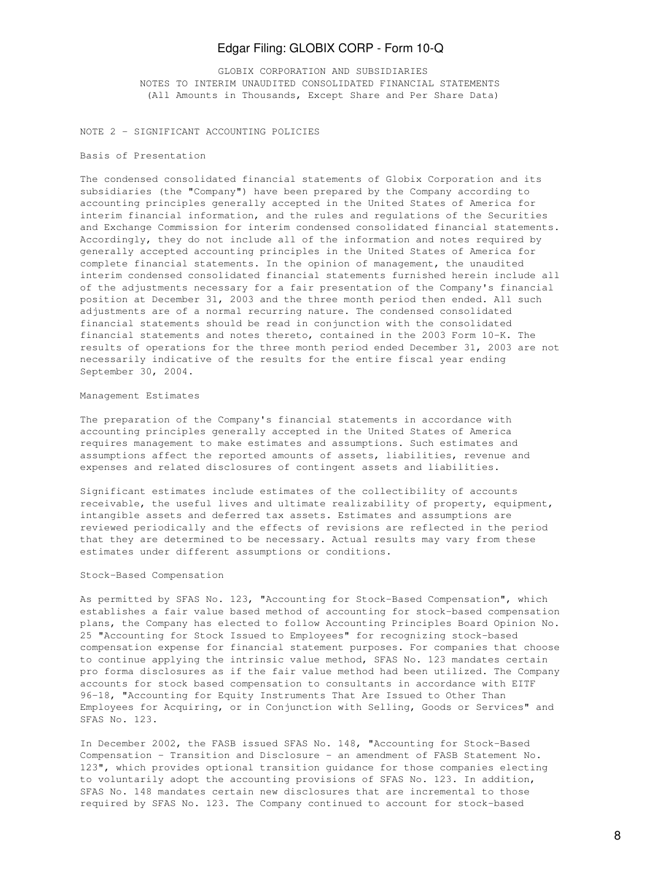GLOBIX CORPORATION AND SUBSIDIARIES NOTES TO INTERIM UNAUDITED CONSOLIDATED FINANCIAL STATEMENTS (All Amounts in Thousands, Except Share and Per Share Data)

NOTE 2 - SIGNIFICANT ACCOUNTING POLICIES

#### Basis of Presentation

The condensed consolidated financial statements of Globix Corporation and its subsidiaries (the "Company") have been prepared by the Company according to accounting principles generally accepted in the United States of America for interim financial information, and the rules and regulations of the Securities and Exchange Commission for interim condensed consolidated financial statements. Accordingly, they do not include all of the information and notes required by generally accepted accounting principles in the United States of America for complete financial statements. In the opinion of management, the unaudited interim condensed consolidated financial statements furnished herein include all of the adjustments necessary for a fair presentation of the Company's financial position at December 31, 2003 and the three month period then ended. All such adjustments are of a normal recurring nature. The condensed consolidated financial statements should be read in conjunction with the consolidated financial statements and notes thereto, contained in the 2003 Form 10-K. The results of operations for the three month period ended December 31, 2003 are not necessarily indicative of the results for the entire fiscal year ending September 30, 2004.

#### Management Estimates

The preparation of the Company's financial statements in accordance with accounting principles generally accepted in the United States of America requires management to make estimates and assumptions. Such estimates and assumptions affect the reported amounts of assets, liabilities, revenue and expenses and related disclosures of contingent assets and liabilities.

Significant estimates include estimates of the collectibility of accounts receivable, the useful lives and ultimate realizability of property, equipment, intangible assets and deferred tax assets. Estimates and assumptions are reviewed periodically and the effects of revisions are reflected in the period that they are determined to be necessary. Actual results may vary from these estimates under different assumptions or conditions.

### Stock-Based Compensation

As permitted by SFAS No. 123, "Accounting for Stock-Based Compensation", which establishes a fair value based method of accounting for stock-based compensation plans, the Company has elected to follow Accounting Principles Board Opinion No. 25 "Accounting for Stock Issued to Employees" for recognizing stock-based compensation expense for financial statement purposes. For companies that choose to continue applying the intrinsic value method, SFAS No. 123 mandates certain pro forma disclosures as if the fair value method had been utilized. The Company accounts for stock based compensation to consultants in accordance with EITF 96-18, "Accounting for Equity Instruments That Are Issued to Other Than Employees for Acquiring, or in Conjunction with Selling, Goods or Services" and SFAS No. 123.

In December 2002, the FASB issued SFAS No. 148, "Accounting for Stock-Based Compensation - Transition and Disclosure - an amendment of FASB Statement No. 123", which provides optional transition guidance for those companies electing to voluntarily adopt the accounting provisions of SFAS No. 123. In addition, SFAS No. 148 mandates certain new disclosures that are incremental to those required by SFAS No. 123. The Company continued to account for stock-based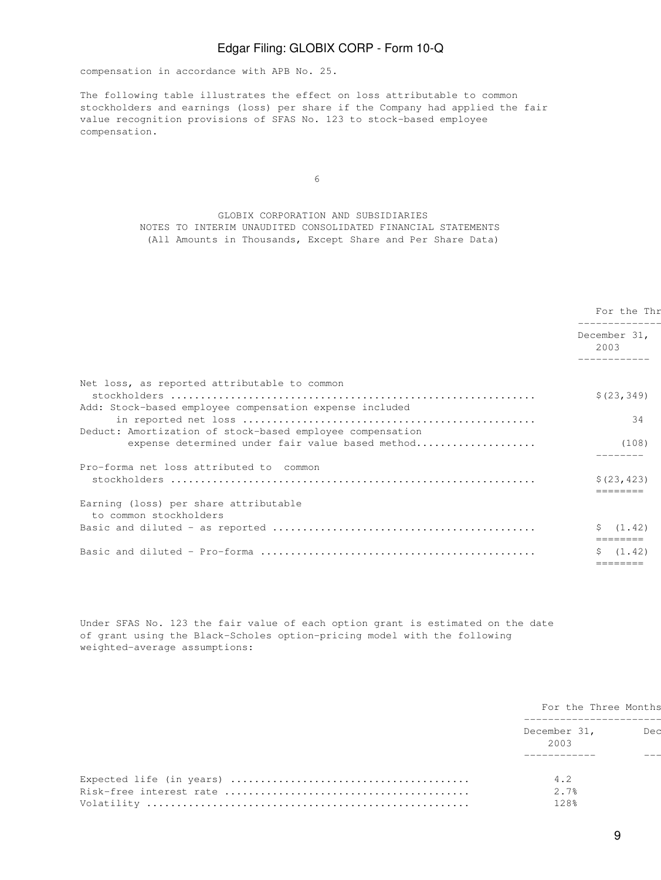compensation in accordance with APB No. 25.

The following table illustrates the effect on loss attributable to common stockholders and earnings (loss) per share if the Company had applied the fair value recognition provisions of SFAS No. 123 to stock-based employee compensation.

 $\sim$  6

## GLOBIX CORPORATION AND SUBSIDIARIES NOTES TO INTERIM UNAUDITED CONSOLIDATED FINANCIAL STATEMENTS (All Amounts in Thousands, Except Share and Per Share Data)

|                                                                                                               | For the Thr<br>December 31,<br>2003 |  |
|---------------------------------------------------------------------------------------------------------------|-------------------------------------|--|
|                                                                                                               |                                     |  |
|                                                                                                               |                                     |  |
| Net loss, as reported attributable to common                                                                  | \$(23, 349)                         |  |
| Add: Stock-based employee compensation expense included                                                       | 34                                  |  |
| Deduct: Amortization of stock-based employee compensation<br>expense determined under fair value based method | (108)                               |  |
| Pro-forma net loss attributed to common                                                                       |                                     |  |
|                                                                                                               | \$(23, 423)<br>=======              |  |
| Earning (loss) per share attributable<br>to common stockholders                                               |                                     |  |
|                                                                                                               | \$ (1.42)<br>========               |  |
|                                                                                                               | (1, 42)                             |  |
|                                                                                                               | =======                             |  |

Under SFAS No. 123 the fair value of each option grant is estimated on the date of grant using the Black-Scholes option-pricing model with the following weighted-average assumptions:

| For the Three Months |     |  |
|----------------------|-----|--|
| December 31,<br>2003 | Dea |  |
| 4.2                  |     |  |
| 2.7%<br>128%         |     |  |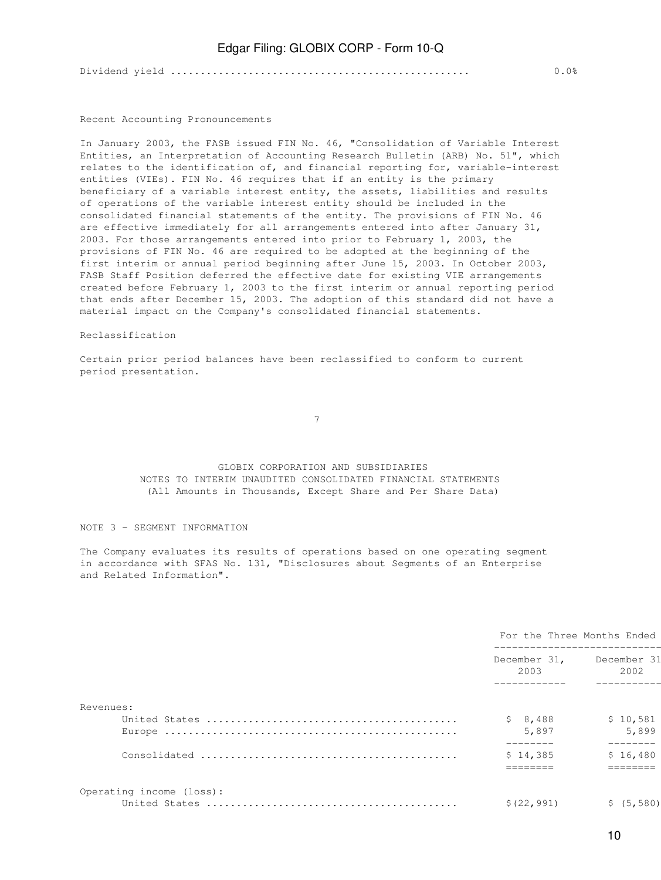Dividend yield .................................................. 0.0% 0.0%

#### Recent Accounting Pronouncements

In January 2003, the FASB issued FIN No. 46, "Consolidation of Variable Interest Entities, an Interpretation of Accounting Research Bulletin (ARB) No. 51", which relates to the identification of, and financial reporting for, variable-interest entities (VIEs). FIN No. 46 requires that if an entity is the primary beneficiary of a variable interest entity, the assets, liabilities and results of operations of the variable interest entity should be included in the consolidated financial statements of the entity. The provisions of FIN No. 46 are effective immediately for all arrangements entered into after January 31, 2003. For those arrangements entered into prior to February 1, 2003, the provisions of FIN No. 46 are required to be adopted at the beginning of the first interim or annual period beginning after June 15, 2003. In October 2003, FASB Staff Position deferred the effective date for existing VIE arrangements created before February 1, 2003 to the first interim or annual reporting period that ends after December 15, 2003. The adoption of this standard did not have a material impact on the Company's consolidated financial statements.

### Reclassification

Certain prior period balances have been reclassified to conform to current period presentation.

7

## GLOBIX CORPORATION AND SUBSIDIARIES NOTES TO INTERIM UNAUDITED CONSOLIDATED FINANCIAL STATEMENTS (All Amounts in Thousands, Except Share and Per Share Data)

### NOTE 3 - SEGMENT INFORMATION

The Company evaluates its results of operations based on one operating segment in accordance with SFAS No. 131, "Disclosures about Segments of an Enterprise and Related Information".

|                          | For the Three Months Ended |                      |  |
|--------------------------|----------------------------|----------------------|--|
|                          | December 31,<br>2003       | December 31<br>2002  |  |
| Revenues:                |                            |                      |  |
|                          | \$8,488                    | \$10,581             |  |
|                          | 5,897                      | 5,899                |  |
|                          | \$14,385                   | --------<br>\$16,480 |  |
|                          |                            |                      |  |
| Operating income (loss): |                            |                      |  |
|                          | \$(22, 991)                | \$ (5, 580)          |  |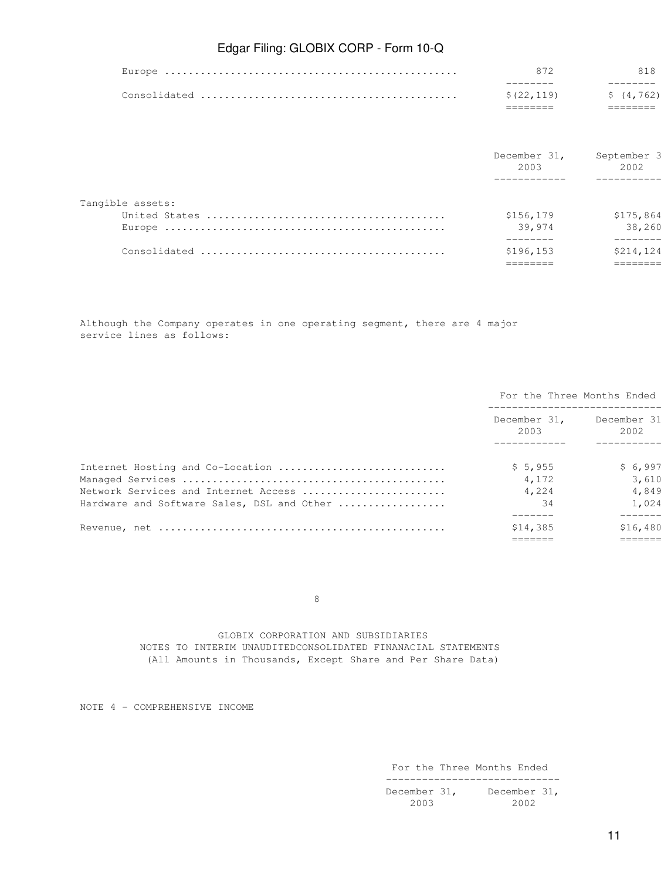| \$(22, 119) | S (4.762) |
|-------------|-----------|
|             |           |
|             | 818.      |

|                  | December 31,<br>2003 | September 3<br>2002 |
|------------------|----------------------|---------------------|
|                  |                      |                     |
| Tangible assets: |                      |                     |
|                  | \$156,179            | \$175,864           |
|                  | 39,974               | 38,260              |
|                  | \$196, 153           | \$214,124           |
|                  |                      |                     |

Although the Company operates in one operating segment, there are 4 major service lines as follows:

|                                                                                    |                      | For the Three Months Ended |
|------------------------------------------------------------------------------------|----------------------|----------------------------|
|                                                                                    | December 31,<br>2003 | December 31<br>2002        |
| Internet Hosting and Co-Location                                                   | \$5,955              | \$6,997                    |
| Network Services and Internet Access<br>Hardware and Software Sales, DSL and Other | 4,172<br>4,224<br>34 | 3,610<br>4,849<br>1,024    |
|                                                                                    | \$14,385             | \$16,480                   |
|                                                                                    |                      |                            |

en andere de la provincia de la provincia de la provincia de la provincia de la provincia de la provincia de<br>En la provincia de la provincia de la provincia de la provincia de la provincia de la provincia de la provinci

 GLOBIX CORPORATION AND SUBSIDIARIES NOTES TO INTERIM UNAUDITEDCONSOLIDATED FINANACIAL STATEMENTS (All Amounts in Thousands, Except Share and Per Share Data)

NOTE 4 - COMPREHENSIVE INCOME

 For the Three Months Ended -----------------------------

December 31, December 31, 2003 2002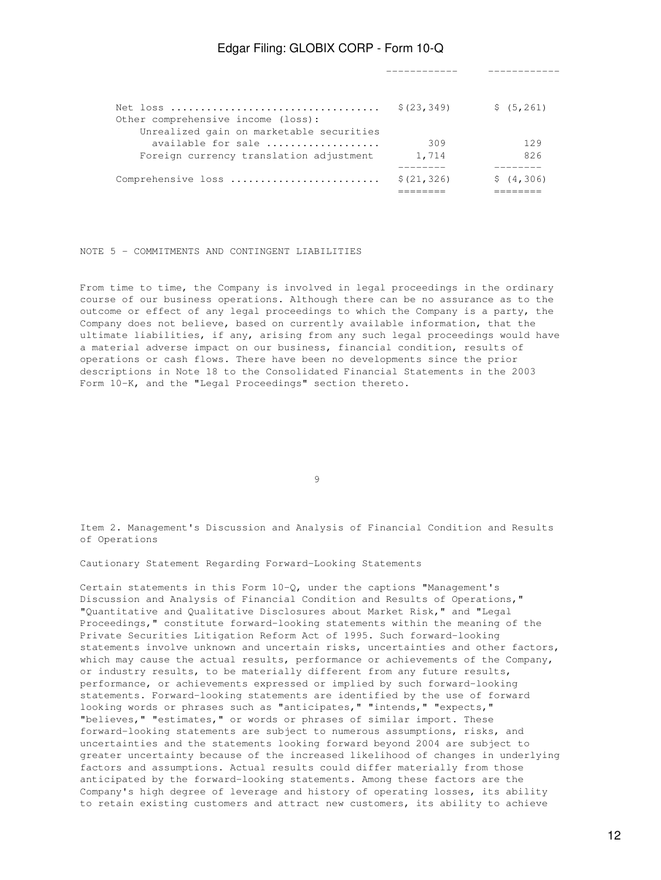------------ ------------

|                                          | \$(23, 349) | \$ (5, 261) |
|------------------------------------------|-------------|-------------|
| Other comprehensive income (loss):       |             |             |
| Unrealized gain on marketable securities |             |             |
| available for sale                       | 309         | 129         |
| Foreign currency translation adjustment  | 1,714       | 826         |
|                                          |             |             |
| Comprehensive loss                       | \$(21, 326) | \$(4,306)   |
|                                          |             |             |

## NOTE 5 - COMMITMENTS AND CONTINGENT LIABILITIES

From time to time, the Company is involved in legal proceedings in the ordinary course of our business operations. Although there can be no assurance as to the outcome or effect of any legal proceedings to which the Company is a party, the Company does not believe, based on currently available information, that the ultimate liabilities, if any, arising from any such legal proceedings would have a material adverse impact on our business, financial condition, results of operations or cash flows. There have been no developments since the prior descriptions in Note 18 to the Consolidated Financial Statements in the 2003 Form 10-K, and the "Legal Proceedings" section thereto.

9

Item 2. Management's Discussion and Analysis of Financial Condition and Results of Operations

Cautionary Statement Regarding Forward-Looking Statements

Certain statements in this Form 10-Q, under the captions "Management's Discussion and Analysis of Financial Condition and Results of Operations," "Quantitative and Qualitative Disclosures about Market Risk," and "Legal Proceedings," constitute forward-looking statements within the meaning of the Private Securities Litigation Reform Act of 1995. Such forward-looking statements involve unknown and uncertain risks, uncertainties and other factors, which may cause the actual results, performance or achievements of the Company, or industry results, to be materially different from any future results, performance, or achievements expressed or implied by such forward-looking statements. Forward-looking statements are identified by the use of forward looking words or phrases such as "anticipates," "intends," "expects," "believes," "estimates," or words or phrases of similar import. These forward-looking statements are subject to numerous assumptions, risks, and uncertainties and the statements looking forward beyond 2004 are subject to greater uncertainty because of the increased likelihood of changes in underlying factors and assumptions. Actual results could differ materially from those anticipated by the forward-looking statements. Among these factors are the Company's high degree of leverage and history of operating losses, its ability to retain existing customers and attract new customers, its ability to achieve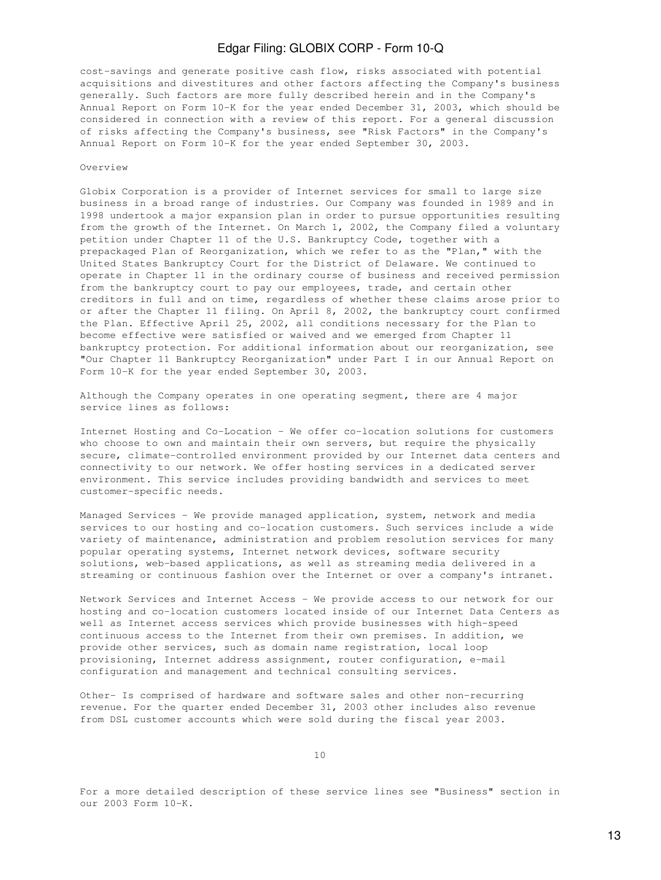cost-savings and generate positive cash flow, risks associated with potential acquisitions and divestitures and other factors affecting the Company's business generally. Such factors are more fully described herein and in the Company's Annual Report on Form 10-K for the year ended December 31, 2003, which should be considered in connection with a review of this report. For a general discussion of risks affecting the Company's business, see "Risk Factors" in the Company's Annual Report on Form 10-K for the year ended September 30, 2003.

### Overview

Globix Corporation is a provider of Internet services for small to large size business in a broad range of industries. Our Company was founded in 1989 and in 1998 undertook a major expansion plan in order to pursue opportunities resulting from the growth of the Internet. On March 1, 2002, the Company filed a voluntary petition under Chapter 11 of the U.S. Bankruptcy Code, together with a prepackaged Plan of Reorganization, which we refer to as the "Plan," with the United States Bankruptcy Court for the District of Delaware. We continued to operate in Chapter 11 in the ordinary course of business and received permission from the bankruptcy court to pay our employees, trade, and certain other creditors in full and on time, regardless of whether these claims arose prior to or after the Chapter 11 filing. On April 8, 2002, the bankruptcy court confirmed the Plan. Effective April 25, 2002, all conditions necessary for the Plan to become effective were satisfied or waived and we emerged from Chapter 11 bankruptcy protection. For additional information about our reorganization, see "Our Chapter 11 Bankruptcy Reorganization" under Part I in our Annual Report on Form 10-K for the year ended September 30, 2003.

Although the Company operates in one operating segment, there are 4 major service lines as follows:

Internet Hosting and Co-Location - We offer co-location solutions for customers who choose to own and maintain their own servers, but require the physically secure, climate-controlled environment provided by our Internet data centers and connectivity to our network. We offer hosting services in a dedicated server environment. This service includes providing bandwidth and services to meet customer-specific needs.

Managed Services - We provide managed application, system, network and media services to our hosting and co-location customers. Such services include a wide variety of maintenance, administration and problem resolution services for many popular operating systems, Internet network devices, software security solutions, web-based applications, as well as streaming media delivered in a streaming or continuous fashion over the Internet or over a company's intranet.

Network Services and Internet Access - We provide access to our network for our hosting and co-location customers located inside of our Internet Data Centers as well as Internet access services which provide businesses with high-speed continuous access to the Internet from their own premises. In addition, we provide other services, such as domain name registration, local loop provisioning, Internet address assignment, router configuration, e-mail configuration and management and technical consulting services.

Other- Is comprised of hardware and software sales and other non-recurring revenue. For the quarter ended December 31, 2003 other includes also revenue from DSL customer accounts which were sold during the fiscal year 2003.

For a more detailed description of these service lines see "Business" section in our 2003 Form 10-K.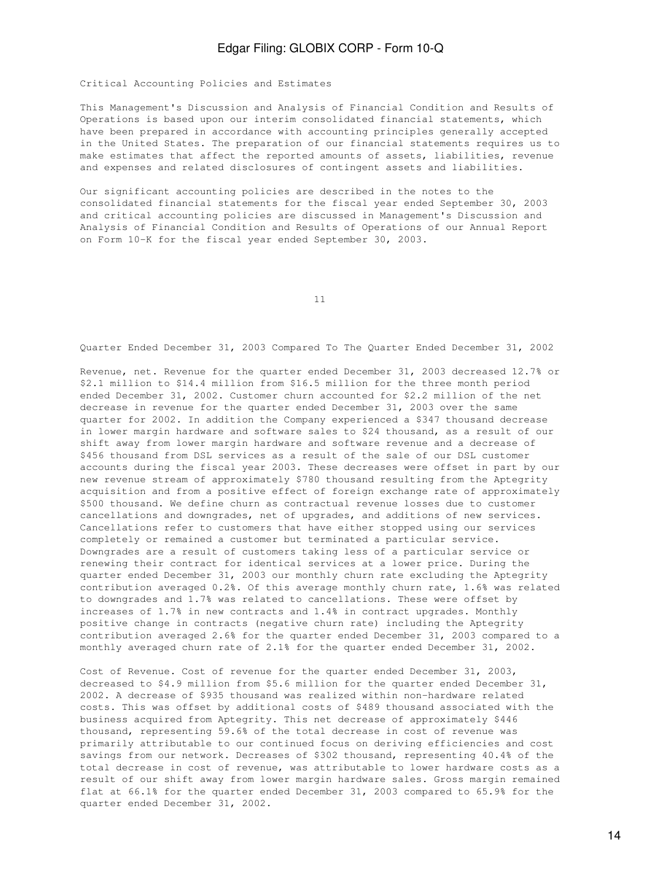Critical Accounting Policies and Estimates

This Management's Discussion and Analysis of Financial Condition and Results of Operations is based upon our interim consolidated financial statements, which have been prepared in accordance with accounting principles generally accepted in the United States. The preparation of our financial statements requires us to make estimates that affect the reported amounts of assets, liabilities, revenue and expenses and related disclosures of contingent assets and liabilities.

Our significant accounting policies are described in the notes to the consolidated financial statements for the fiscal year ended September 30, 2003 and critical accounting policies are discussed in Management's Discussion and Analysis of Financial Condition and Results of Operations of our Annual Report on Form 10-K for the fiscal year ended September 30, 2003.

11

Quarter Ended December 31, 2003 Compared To The Quarter Ended December 31, 2002

Revenue, net. Revenue for the quarter ended December 31, 2003 decreased 12.7% or \$2.1 million to \$14.4 million from \$16.5 million for the three month period ended December 31, 2002. Customer churn accounted for \$2.2 million of the net decrease in revenue for the quarter ended December 31, 2003 over the same quarter for 2002. In addition the Company experienced a \$347 thousand decrease in lower margin hardware and software sales to \$24 thousand, as a result of our shift away from lower margin hardware and software revenue and a decrease of \$456 thousand from DSL services as a result of the sale of our DSL customer accounts during the fiscal year 2003. These decreases were offset in part by our new revenue stream of approximately \$780 thousand resulting from the Aptegrity acquisition and from a positive effect of foreign exchange rate of approximately \$500 thousand. We define churn as contractual revenue losses due to customer cancellations and downgrades, net of upgrades, and additions of new services. Cancellations refer to customers that have either stopped using our services completely or remained a customer but terminated a particular service. Downgrades are a result of customers taking less of a particular service or renewing their contract for identical services at a lower price. During the quarter ended December 31, 2003 our monthly churn rate excluding the Aptegrity contribution averaged 0.2%. Of this average monthly churn rate, 1.6% was related to downgrades and 1.7% was related to cancellations. These were offset by increases of 1.7% in new contracts and 1.4% in contract upgrades. Monthly positive change in contracts (negative churn rate) including the Aptegrity contribution averaged 2.6% for the quarter ended December 31, 2003 compared to a monthly averaged churn rate of 2.1% for the quarter ended December 31, 2002.

Cost of Revenue. Cost of revenue for the quarter ended December 31, 2003, decreased to \$4.9 million from \$5.6 million for the quarter ended December 31, 2002. A decrease of \$935 thousand was realized within non-hardware related costs. This was offset by additional costs of \$489 thousand associated with the business acquired from Aptegrity. This net decrease of approximately \$446 thousand, representing 59.6% of the total decrease in cost of revenue was primarily attributable to our continued focus on deriving efficiencies and cost savings from our network. Decreases of \$302 thousand, representing 40.4% of the total decrease in cost of revenue, was attributable to lower hardware costs as a result of our shift away from lower margin hardware sales. Gross margin remained flat at 66.1% for the quarter ended December 31, 2003 compared to 65.9% for the quarter ended December 31, 2002.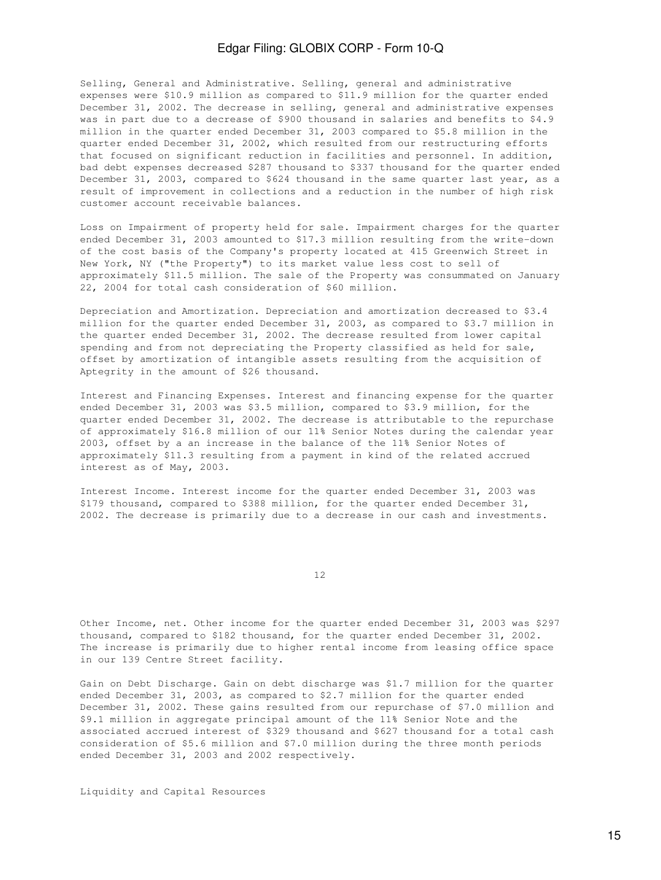Selling, General and Administrative. Selling, general and administrative expenses were \$10.9 million as compared to \$11.9 million for the quarter ended December 31, 2002. The decrease in selling, general and administrative expenses was in part due to a decrease of \$900 thousand in salaries and benefits to \$4.9 million in the quarter ended December 31, 2003 compared to \$5.8 million in the quarter ended December 31, 2002, which resulted from our restructuring efforts that focused on significant reduction in facilities and personnel. In addition, bad debt expenses decreased \$287 thousand to \$337 thousand for the quarter ended December 31, 2003, compared to \$624 thousand in the same quarter last year, as a result of improvement in collections and a reduction in the number of high risk customer account receivable balances.

Loss on Impairment of property held for sale. Impairment charges for the quarter ended December 31, 2003 amounted to \$17.3 million resulting from the write-down of the cost basis of the Company's property located at 415 Greenwich Street in New York, NY ("the Property") to its market value less cost to sell of approximately \$11.5 million. The sale of the Property was consummated on January 22, 2004 for total cash consideration of \$60 million.

Depreciation and Amortization. Depreciation and amortization decreased to \$3.4 million for the quarter ended December 31, 2003, as compared to \$3.7 million in the quarter ended December 31, 2002. The decrease resulted from lower capital spending and from not depreciating the Property classified as held for sale, offset by amortization of intangible assets resulting from the acquisition of Aptegrity in the amount of \$26 thousand.

Interest and Financing Expenses. Interest and financing expense for the quarter ended December 31, 2003 was \$3.5 million, compared to \$3.9 million, for the quarter ended December 31, 2002. The decrease is attributable to the repurchase of approximately \$16.8 million of our 11% Senior Notes during the calendar year 2003, offset by a an increase in the balance of the 11% Senior Notes of approximately \$11.3 resulting from a payment in kind of the related accrued interest as of May, 2003.

Interest Income. Interest income for the quarter ended December 31, 2003 was \$179 thousand, compared to \$388 million, for the quarter ended December 31, 2002. The decrease is primarily due to a decrease in our cash and investments.

12

Other Income, net. Other income for the quarter ended December 31, 2003 was \$297 thousand, compared to \$182 thousand, for the quarter ended December 31, 2002. The increase is primarily due to higher rental income from leasing office space in our 139 Centre Street facility.

Gain on Debt Discharge. Gain on debt discharge was \$1.7 million for the quarter ended December 31, 2003, as compared to \$2.7 million for the quarter ended December 31, 2002. These gains resulted from our repurchase of \$7.0 million and \$9.1 million in aggregate principal amount of the 11% Senior Note and the associated accrued interest of \$329 thousand and \$627 thousand for a total cash consideration of \$5.6 million and \$7.0 million during the three month periods ended December 31, 2003 and 2002 respectively.

Liquidity and Capital Resources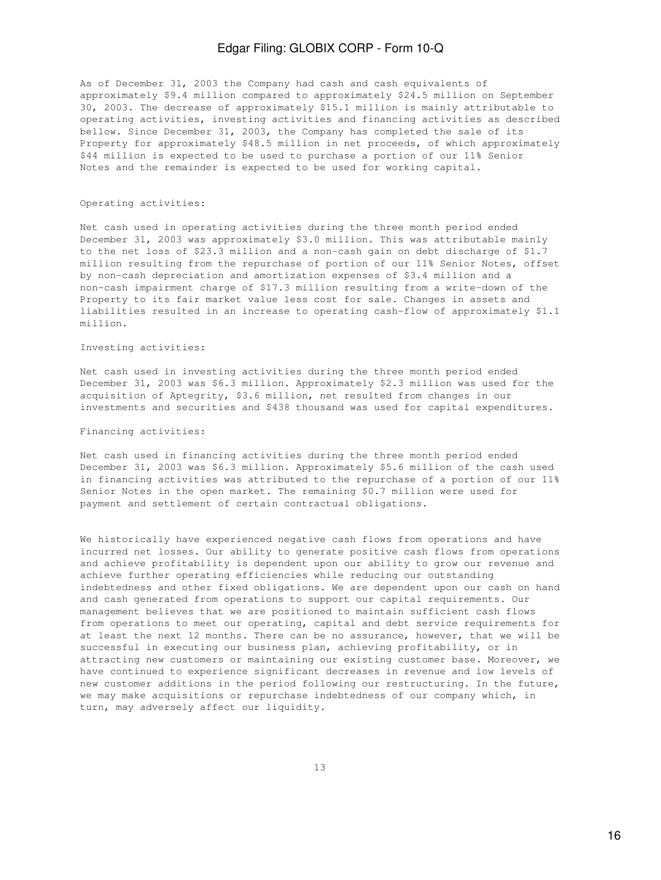As of December 31, 2003 the Company had cash and cash equivalents of approximately \$9.4 million compared to approximately \$24.5 million on September 30, 2003. The decrease of approximately \$15.1 million is mainly attributable to operating activities, investing activities and financing activities as described bellow. Since December 31, 2003, the Company has completed the sale of its Property for approximately \$48.5 million in net proceeds, of which approximately \$44 million is expected to be used to purchase a portion of our 11% Senior Notes and the remainder is expected to be used for working capital.

### Operating activities:

Net cash used in operating activities during the three month period ended December 31, 2003 was approximately \$3.0 million. This was attributable mainly to the net loss of \$23.3 million and a non-cash gain on debt discharge of \$1.7 million resulting from the repurchase of portion of our 11% Senior Notes, offset by non-cash depreciation and amortization expenses of \$3.4 million and a non-cash impairment charge of \$17.3 million resulting from a write-down of the Property to its fair market value less cost for sale. Changes in assets and liabilities resulted in an increase to operating cash-flow of approximately \$1.1 million.

### Investing activities:

Net cash used in investing activities during the three month period ended December 31, 2003 was \$6.3 million. Approximately \$2.3 million was used for the acquisition of Aptegrity, \$3.6 million, net resulted from changes in our investments and securities and \$438 thousand was used for capital expenditures.

### Financing activities:

Net cash used in financing activities during the three month period ended December 31, 2003 was \$6.3 million. Approximately \$5.6 million of the cash used in financing activities was attributed to the repurchase of a portion of our 11% Senior Notes in the open market. The remaining \$0.7 million were used for payment and settlement of certain contractual obligations.

We historically have experienced negative cash flows from operations and have incurred net losses. Our ability to generate positive cash flows from operations and achieve profitability is dependent upon our ability to grow our revenue and achieve further operating efficiencies while reducing our outstanding indebtedness and other fixed obligations. We are dependent upon our cash on hand and cash generated from operations to support our capital requirements. Our management believes that we are positioned to maintain sufficient cash flows from operations to meet our operating, capital and debt service requirements for at least the next 12 months. There can be no assurance, however, that we will be successful in executing our business plan, achieving profitability, or in attracting new customers or maintaining our existing customer base. Moreover, we have continued to experience significant decreases in revenue and low levels of new customer additions in the period following our restructuring. In the future, we may make acquisitions or repurchase indebtedness of our company which, in turn, may adversely affect our liquidity.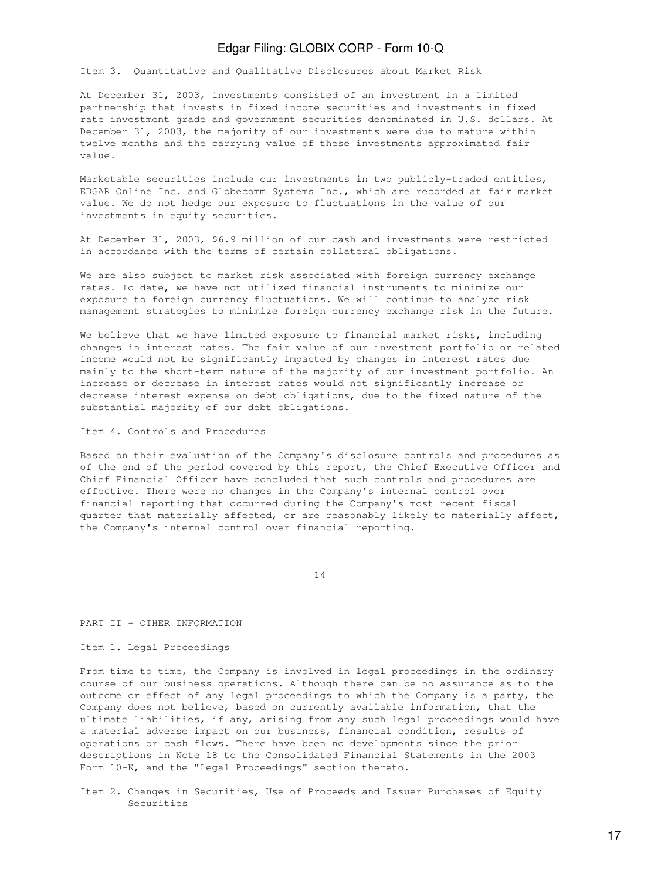Item 3. Quantitative and Qualitative Disclosures about Market Risk

At December 31, 2003, investments consisted of an investment in a limited partnership that invests in fixed income securities and investments in fixed rate investment grade and government securities denominated in U.S. dollars. At December 31, 2003, the majority of our investments were due to mature within twelve months and the carrying value of these investments approximated fair value.

Marketable securities include our investments in two publicly-traded entities, EDGAR Online Inc. and Globecomm Systems Inc., which are recorded at fair market value. We do not hedge our exposure to fluctuations in the value of our investments in equity securities.

At December 31, 2003, \$6.9 million of our cash and investments were restricted in accordance with the terms of certain collateral obligations.

We are also subject to market risk associated with foreign currency exchange rates. To date, we have not utilized financial instruments to minimize our exposure to foreign currency fluctuations. We will continue to analyze risk management strategies to minimize foreign currency exchange risk in the future.

We believe that we have limited exposure to financial market risks, including changes in interest rates. The fair value of our investment portfolio or related income would not be significantly impacted by changes in interest rates due mainly to the short-term nature of the majority of our investment portfolio. An increase or decrease in interest rates would not significantly increase or decrease interest expense on debt obligations, due to the fixed nature of the substantial majority of our debt obligations.

Item 4. Controls and Procedures

Based on their evaluation of the Company's disclosure controls and procedures as of the end of the period covered by this report, the Chief Executive Officer and Chief Financial Officer have concluded that such controls and procedures are effective. There were no changes in the Company's internal control over financial reporting that occurred during the Company's most recent fiscal quarter that materially affected, or are reasonably likely to materially affect, the Company's internal control over financial reporting.

14

PART II - OTHER INFORMATION

Item 1. Legal Proceedings

From time to time, the Company is involved in legal proceedings in the ordinary course of our business operations. Although there can be no assurance as to the outcome or effect of any legal proceedings to which the Company is a party, the Company does not believe, based on currently available information, that the ultimate liabilities, if any, arising from any such legal proceedings would have a material adverse impact on our business, financial condition, results of operations or cash flows. There have been no developments since the prior descriptions in Note 18 to the Consolidated Financial Statements in the 2003 Form 10-K, and the "Legal Proceedings" section thereto.

Item 2. Changes in Securities, Use of Proceeds and Issuer Purchases of Equity Securities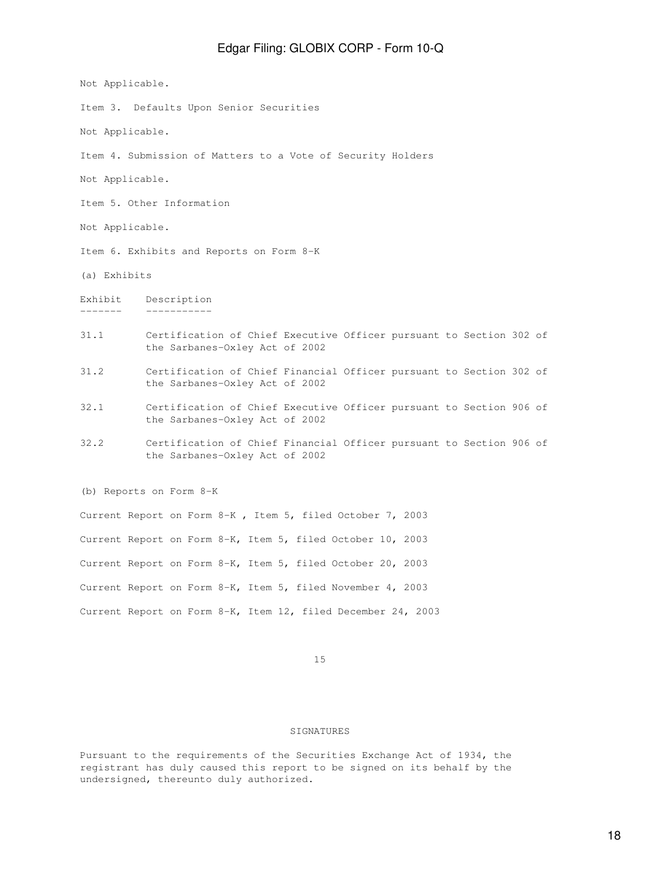Not Applicable.

Item 3. Defaults Upon Senior Securities

Not Applicable.

Item 4. Submission of Matters to a Vote of Security Holders

Not Applicable.

Item 5. Other Information

Not Applicable.

Item 6. Exhibits and Reports on Form 8-K

(a) Exhibits

Exhibit Description ------- -----------

- 31.1 Certification of Chief Executive Officer pursuant to Section 302 of the Sarbanes-Oxley Act of 2002
- 31.2 Certification of Chief Financial Officer pursuant to Section 302 of the Sarbanes-Oxley Act of 2002
- 32.1 Certification of Chief Executive Officer pursuant to Section 906 of the Sarbanes-Oxley Act of 2002
- 32.2 Certification of Chief Financial Officer pursuant to Section 906 of the Sarbanes-Oxley Act of 2002

(b) Reports on Form 8-K

Current Report on Form 8-K , Item 5, filed October 7, 2003 Current Report on Form 8-K, Item 5, filed October 10, 2003 Current Report on Form 8-K, Item 5, filed October 20, 2003 Current Report on Form 8-K, Item 5, filed November 4, 2003 Current Report on Form 8-K, Item 12, filed December 24, 2003

15

## **SIGNATURES**

Pursuant to the requirements of the Securities Exchange Act of 1934, the registrant has duly caused this report to be signed on its behalf by the undersigned, thereunto duly authorized.